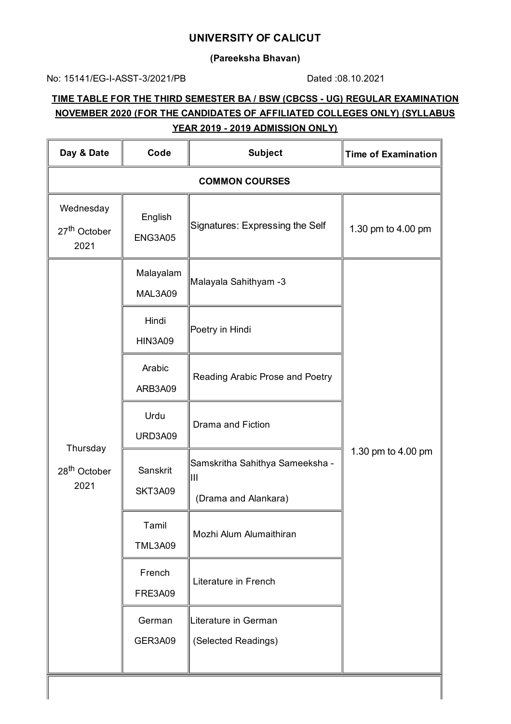#### **UNIVERSITY OF CALICUT**

**(Pareeksha Bhavan)**

No: 15141/EG-I-ASST-3/2021/PB Dated :08.10.2021

# **TIME TABLE FOR THE THIRD SEMESTER BA / BSW (CBCSS - UG) REGULAR EXAMINATION NOVEMBER 2020 (FOR THE CANDIDATES OF AFFILIATED COLLEGES ONLY) (SYLLABUS YEAR 2019 - 2019 ADMISSION ONLY)**

| Day & Date                                    | Code                      | <b>Subject</b>                              | <b>Time of Examination</b> |
|-----------------------------------------------|---------------------------|---------------------------------------------|----------------------------|
|                                               |                           | <b>COMMON COURSES</b>                       |                            |
| Wednesday<br>27 <sup>th</sup> October<br>2021 | English<br><b>ENG3A05</b> | Signatures: Expressing the Self             | 1.30 pm to 4.00 pm         |
|                                               | Malayalam<br>MAL3A09      | Malayala Sahithyam -3                       |                            |
|                                               | Hindi<br><b>HIN3A09</b>   | Poetry in Hindi                             |                            |
| Thursday<br>28 <sup>th</sup> October<br>2021  | Arabic<br>ARB3A09         | Reading Arabic Prose and Poetry             |                            |
|                                               | Urdu<br><b>URD3A09</b>    | Drama and Fiction                           |                            |
|                                               | Sanskrit<br>SKT3A09       | Samskritha Sahithya Sameeksha -<br>Ш        | 1.30 pm to 4.00 pm         |
|                                               |                           | (Drama and Alankara)                        |                            |
|                                               | Tamil<br><b>TML3A09</b>   | Mozhi Alum Alumaithiran                     |                            |
|                                               | French<br><b>FRE3A09</b>  | Literature in French                        |                            |
|                                               | German<br>GER3A09         | Literature in German<br>(Selected Readings) |                            |
|                                               |                           |                                             |                            |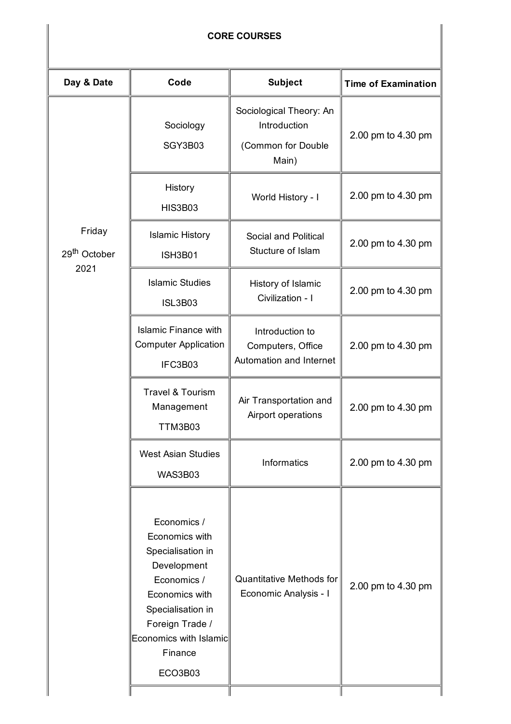### **CORE COURSES**

| Day & Date                         | Code                                                                                                                                                                                              | <b>Subject</b>                                                         | <b>Time of Examination</b> |
|------------------------------------|---------------------------------------------------------------------------------------------------------------------------------------------------------------------------------------------------|------------------------------------------------------------------------|----------------------------|
|                                    | Sociology<br>SGY3B03                                                                                                                                                                              | Sociological Theory: An<br>Introduction<br>(Common for Double<br>Main) | 2.00 pm to 4.30 pm         |
|                                    | History<br><b>HIS3B03</b>                                                                                                                                                                         | World History - I                                                      | 2.00 pm to 4.30 pm         |
| Friday<br>29 <sup>th</sup> October | <b>Islamic History</b><br><b>ISH3B01</b>                                                                                                                                                          | Social and Political<br>Stucture of Islam                              | 2.00 pm to 4.30 pm         |
| 2021                               | <b>Islamic Studies</b><br><b>ISL3B03</b>                                                                                                                                                          | History of Islamic<br>Civilization - I                                 | 2.00 pm to 4.30 pm         |
|                                    | <b>Islamic Finance with</b><br><b>Computer Application</b><br>IFC3B03                                                                                                                             | Introduction to<br>Computers, Office<br>Automation and Internet        | 2.00 pm to 4.30 pm         |
|                                    | <b>Travel &amp; Tourism</b><br>Management<br><b>TTM3B03</b>                                                                                                                                       | Air Transportation and<br>Airport operations                           | 2.00 pm to 4.30 pm         |
|                                    | <b>West Asian Studies</b><br>WAS3B03                                                                                                                                                              | Informatics                                                            | 2.00 pm to 4.30 pm         |
|                                    | Economics /<br>Economics with<br>Specialisation in<br>Development<br>Economics /<br>Economics with<br>Specialisation in<br>Foreign Trade /<br><b>Economics with Islamic</b><br>Finance<br>ECO3B03 | <b>Quantitative Methods for</b><br>Economic Analysis - I               | 2.00 pm to 4.30 pm         |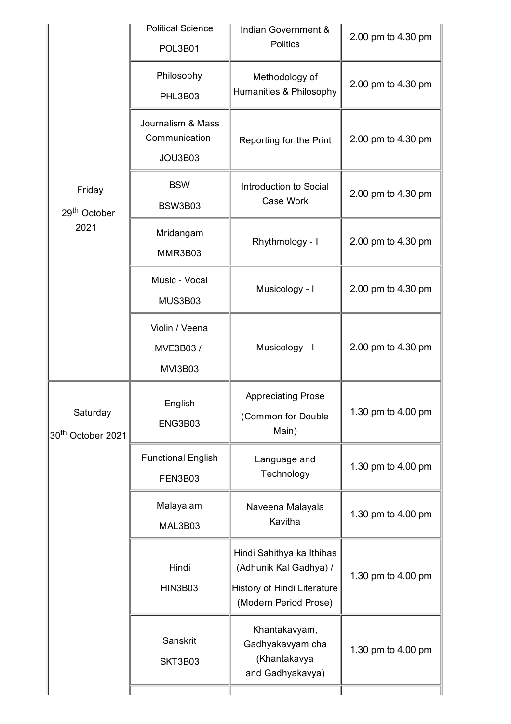|                                           | <b>Political Science</b><br>POL3B01           | Indian Government &<br><b>Politics</b>                                                                      | 2.00 pm to 4.30 pm |
|-------------------------------------------|-----------------------------------------------|-------------------------------------------------------------------------------------------------------------|--------------------|
|                                           | Philosophy<br>PHL3B03                         | Methodology of<br>Humanities & Philosophy                                                                   | 2.00 pm to 4.30 pm |
|                                           | Journalism & Mass<br>Communication<br>JOU3B03 | Reporting for the Print                                                                                     | 2.00 pm to 4.30 pm |
| Friday<br>29 <sup>th</sup> October        | <b>BSW</b><br>BSW3B03                         | Introduction to Social<br>Case Work                                                                         | 2.00 pm to 4.30 pm |
| 2021                                      | Mridangam<br>MMR3B03                          | Rhythmology - I                                                                                             | 2.00 pm to 4.30 pm |
|                                           | Music - Vocal<br>MUS3B03                      | Musicology - I                                                                                              | 2.00 pm to 4.30 pm |
|                                           | Violin / Veena<br>MVE3B03 /<br><b>MVI3B03</b> | Musicology - I                                                                                              | 2.00 pm to 4.30 pm |
| Saturday<br>30 <sup>th</sup> October 2021 | English<br>ENG3B03                            | <b>Appreciating Prose</b><br>(Common for Double<br>Main)                                                    | 1.30 pm to 4.00 pm |
|                                           | <b>Functional English</b><br>FEN3B03          | Language and<br>Technology                                                                                  | 1.30 pm to 4.00 pm |
|                                           | Malayalam<br>MAL3B03                          | Naveena Malayala<br>Kavitha                                                                                 | 1.30 pm to 4.00 pm |
|                                           | Hindi<br><b>HIN3B03</b>                       | Hindi Sahithya ka Ithihas<br>(Adhunik Kal Gadhya) /<br>History of Hindi Literature<br>(Modern Period Prose) | 1.30 pm to 4.00 pm |
|                                           | Sanskrit<br>SKT3B03                           | Khantakavyam,<br>Gadhyakavyam cha<br>(Khantakavya<br>and Gadhyakavya)                                       | 1.30 pm to 4.00 pm |
|                                           |                                               |                                                                                                             |                    |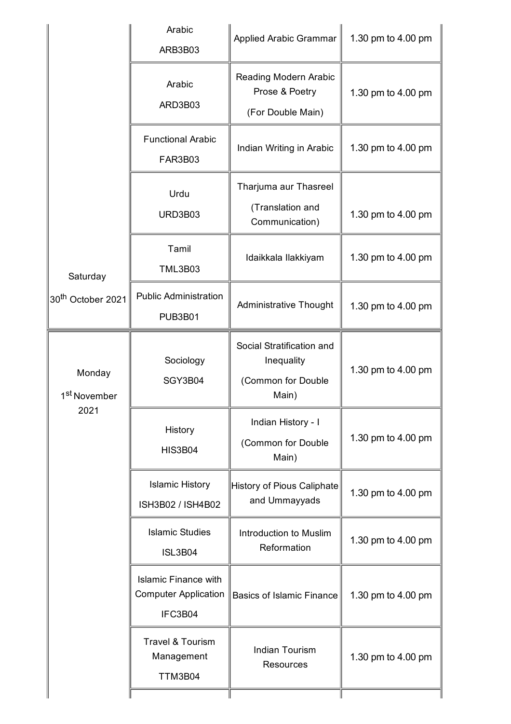|                                    | Arabic<br>ARB3B03                                                     | <b>Applied Arabic Grammar</b>                                          | 1.30 pm to 4.00 pm |
|------------------------------------|-----------------------------------------------------------------------|------------------------------------------------------------------------|--------------------|
|                                    | Arabic<br>ARD3B03                                                     | Reading Modern Arabic<br>Prose & Poetry<br>(For Double Main)           | 1.30 pm to 4.00 pm |
|                                    | <b>Functional Arabic</b><br><b>FAR3B03</b>                            | Indian Writing in Arabic                                               | 1.30 pm to 4.00 pm |
|                                    | Urdu<br>URD3B03                                                       | Tharjuma aur Thasreel<br>(Translation and<br>Communication)            | 1.30 pm to 4.00 pm |
| Saturday                           | Tamil<br><b>TML3B03</b>                                               | Idaikkala Ilakkiyam                                                    | 1.30 pm to 4.00 pm |
| 30 <sup>th</sup> October 2021      | <b>Public Administration</b><br><b>PUB3B01</b>                        | <b>Administrative Thought</b>                                          | 1.30 pm to 4.00 pm |
| Monday<br>1 <sup>st</sup> November | Sociology<br>SGY3B04                                                  | Social Stratification and<br>Inequality<br>(Common for Double<br>Main) | 1.30 pm to 4.00 pm |
| 2021                               | History<br><b>HIS3B04</b>                                             | Indian History - I<br>(Common for Double<br>Main)                      | 1.30 pm to 4.00 pm |
|                                    | <b>Islamic History</b><br>ISH3B02 / ISH4B02                           | History of Pious Caliphate<br>and Ummayyads                            | 1.30 pm to 4.00 pm |
|                                    | <b>Islamic Studies</b><br><b>ISL3B04</b>                              | Introduction to Muslim<br>Reformation                                  | 1.30 pm to 4.00 pm |
|                                    | <b>Islamic Finance with</b><br><b>Computer Application</b><br>IFC3B04 | <b>Basics of Islamic Finance</b>                                       | 1.30 pm to 4.00 pm |
|                                    | <b>Travel &amp; Tourism</b><br>Management<br>TTM3B04                  | <b>Indian Tourism</b><br><b>Resources</b>                              | 1.30 pm to 4.00 pm |
|                                    |                                                                       |                                                                        |                    |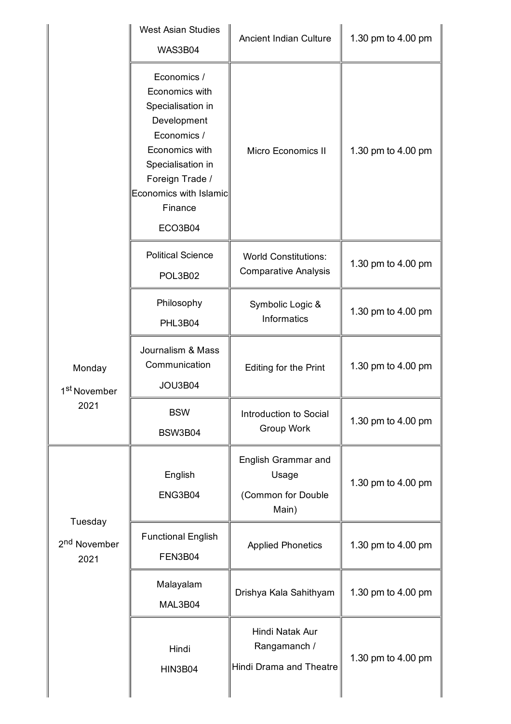|                                    | <b>West Asian Studies</b><br><b>WAS3B04</b>                                                                                                                                                | <b>Ancient Indian Culture</b>                               | 1.30 pm to 4.00 pm |
|------------------------------------|--------------------------------------------------------------------------------------------------------------------------------------------------------------------------------------------|-------------------------------------------------------------|--------------------|
|                                    | Economics /<br>Economics with<br>Specialisation in<br>Development<br>Economics /<br>Economics with<br>Specialisation in<br>Foreign Trade /<br>Economics with Islamic<br>Finance<br>ECO3B04 | Micro Economics II                                          | 1.30 pm to 4.00 pm |
|                                    | <b>Political Science</b><br>POL3B02                                                                                                                                                        | <b>World Constitutions:</b><br><b>Comparative Analysis</b>  | 1.30 pm to 4.00 pm |
|                                    | Philosophy<br>PHL3B04                                                                                                                                                                      | Symbolic Logic &<br>Informatics                             | 1.30 pm to 4.00 pm |
| Monday<br>1 <sup>st</sup> November | Journalism & Mass<br>Communication<br>JOU3B04                                                                                                                                              | Editing for the Print                                       | 1.30 pm to 4.00 pm |
| 2021                               | <b>BSW</b><br>BSW3B04                                                                                                                                                                      | Introduction to Social<br>Group Work                        | 1.30 pm to 4.00 pm |
| Tuesday                            | English<br>ENG3B04                                                                                                                                                                         | English Grammar and<br>Usage<br>(Common for Double<br>Main) | 1.30 pm to 4.00 pm |
| 2 <sup>nd</sup> November<br>2021   | <b>Functional English</b><br>FEN3B04                                                                                                                                                       | <b>Applied Phonetics</b>                                    | 1.30 pm to 4.00 pm |
|                                    | Malayalam<br>MAL3B04                                                                                                                                                                       | Drishya Kala Sahithyam                                      | 1.30 pm to 4.00 pm |
|                                    | Hindi<br><b>HIN3B04</b>                                                                                                                                                                    | Hindi Natak Aur<br>Rangamanch /<br>Hindi Drama and Theatre  | 1.30 pm to 4.00 pm |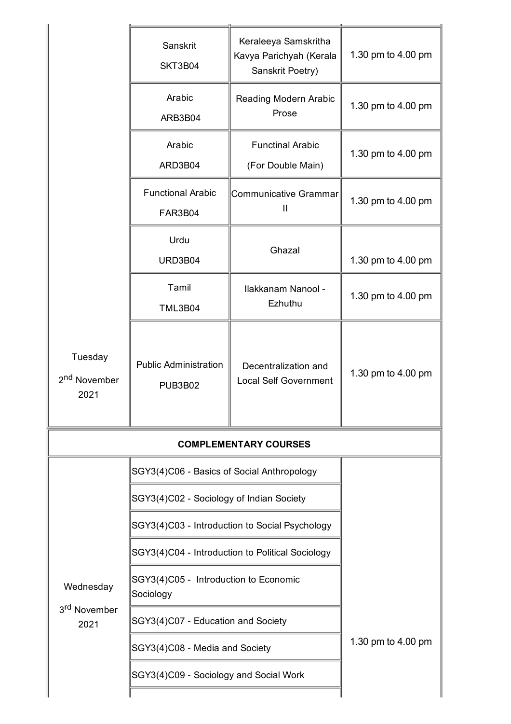|                                             | Sanskrit<br>SKT3B04                            | Keraleeya Samskritha<br>Kavya Parichyah (Kerala<br>Sanskrit Poetry) | 1.30 pm to 4.00 pm |
|---------------------------------------------|------------------------------------------------|---------------------------------------------------------------------|--------------------|
|                                             | Arabic<br>ARB3B04                              | Reading Modern Arabic<br>Prose                                      | 1.30 pm to 4.00 pm |
|                                             | Arabic<br>ARD3B04                              | <b>Functinal Arabic</b><br>(For Double Main)                        | 1.30 pm to 4.00 pm |
|                                             | <b>Functional Arabic</b><br>FAR3B04            | Communicative Grammar<br>Ш                                          | 1.30 pm to 4.00 pm |
|                                             | Urdu<br>URD3B04                                | Ghazal                                                              | 1.30 pm to 4.00 pm |
|                                             | Tamil<br><b>TML3B04</b>                        | Ilakkanam Nanool -<br>Ezhuthu                                       | 1.30 pm to 4.00 pm |
| Tuesday<br>2 <sup>nd</sup> November<br>2021 | <b>Public Administration</b><br><b>PUB3B02</b> | Decentralization and<br><b>Local Self Government</b>                | 1.30 pm to 4.00 pm |
| <b>COMPLEMENTARY COURSES</b>                |                                                |                                                                     |                    |
|                                             | SGY3(4)C06 - Basics of Social Anthropology     |                                                                     |                    |
|                                             | SGY3(4)C02 - Sociology of Indian Society       |                                                                     |                    |
|                                             | SGY3(4)C03 - Introduction to Social Psychology |                                                                     |                    |
|                                             |                                                | SGY3(4)C04 - Introduction to Political Sociology                    |                    |

1.30 pm to 4.00 pm

 $\big|$ SGY3(4)C09 - Sociology and Social Work

SGY3(4)C05 - Introduction to Economic

SGY3(4)C07 - Education and Society

SGY3(4)C08 - Media and Society

Wednesday

 $\parallel$ Sociology

3<sup>rd</sup> November 2021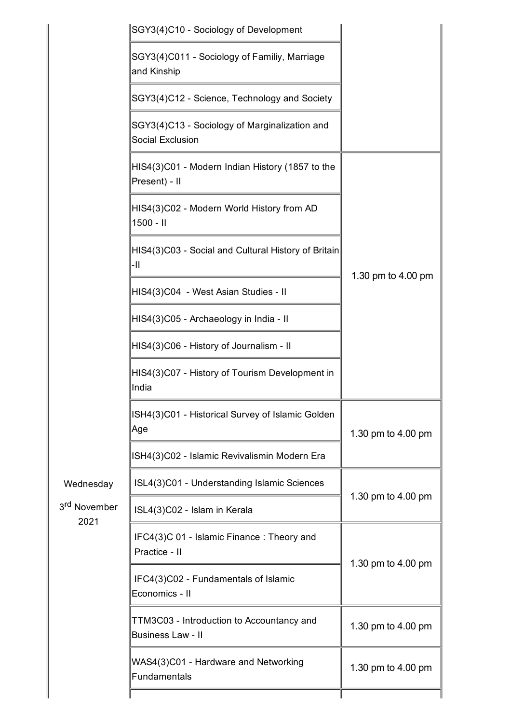|                                  | SGY3(4)C10 - Sociology of Development                                 |                    |
|----------------------------------|-----------------------------------------------------------------------|--------------------|
|                                  | SGY3(4)C011 - Sociology of Familiy, Marriage<br>and Kinship           |                    |
|                                  | SGY3(4)C12 - Science, Technology and Society                          |                    |
|                                  | SGY3(4)C13 - Sociology of Marginalization and<br>Social Exclusion     |                    |
|                                  | HIS4(3)C01 - Modern Indian History (1857 to the<br>Present) - II      |                    |
|                                  | HIS4(3)C02 - Modern World History from AD<br>$1500 - 11$              |                    |
|                                  | HIS4(3)C03 - Social and Cultural History of Britain<br>-11            | 1.30 pm to 4.00 pm |
|                                  | HIS4(3)C04 - West Asian Studies - II                                  |                    |
|                                  | HIS4(3)C05 - Archaeology in India - II                                |                    |
|                                  | HIS4(3)C06 - History of Journalism - II                               |                    |
|                                  | HIS4(3)C07 - History of Tourism Development in<br>India               |                    |
|                                  | ISH4(3)C01 - Historical Survey of Islamic Golden<br>Age               | 1.30 pm to 4.00 pm |
|                                  | ISH4(3)C02 - Islamic Revivalismin Modern Era                          |                    |
| Wednesday                        | ISL4(3)C01 - Understanding Islamic Sciences                           | 1.30 pm to 4.00 pm |
| 3 <sup>rd</sup> November<br>2021 | ISL4(3)C02 - Islam in Kerala                                          |                    |
|                                  | IFC4(3)C 01 - Islamic Finance: Theory and<br>Practice - II            | 1.30 pm to 4.00 pm |
|                                  | IFC4(3)C02 - Fundamentals of Islamic<br>Economics - II                |                    |
|                                  | TTM3C03 - Introduction to Accountancy and<br><b>Business Law - II</b> | 1.30 pm to 4.00 pm |
|                                  | WAS4(3)C01 - Hardware and Networking<br>Fundamentals                  | 1.30 pm to 4.00 pm |
|                                  |                                                                       |                    |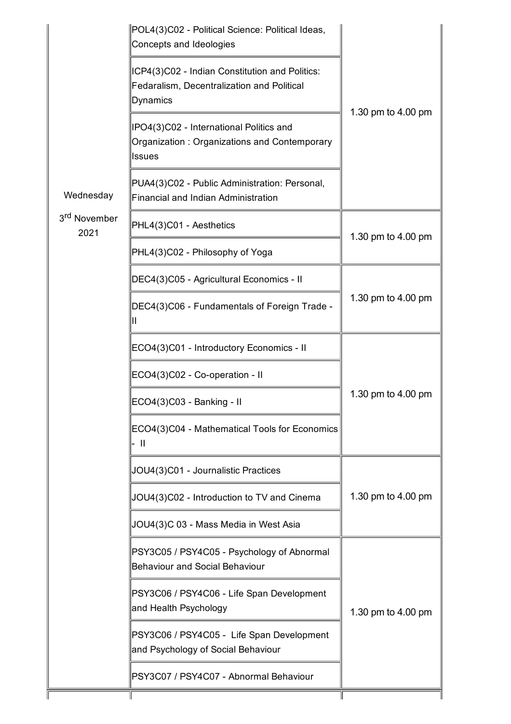| ICP4(3)C02 - Indian Constitution and Politics:<br>Fedaralism, Decentralization and Political<br>Dynamics<br>1.30 pm to 4.00 pm<br>IPO4(3)C02 - International Politics and<br>Organization: Organizations and Contemporary<br><b>Issues</b><br>PUA4(3)C02 - Public Administration: Personal,<br>Wednesday<br>Financial and Indian Administration<br>3 <sup>rd</sup> November<br>PHL4(3)C01 - Aesthetics<br>2021<br>1.30 pm to 4.00 pm<br>PHL4(3)C02 - Philosophy of Yoga<br>DEC4(3)C05 - Agricultural Economics - II<br>DEC4(3)C06 - Fundamentals of Foreign Trade -<br>ECO4(3)C01 - Introductory Economics - II<br>ECO4(3)C02 - Co-operation - II | POL4(3)C02 - Political Science: Political Ideas,<br>Concepts and Ideologies |                    |
|---------------------------------------------------------------------------------------------------------------------------------------------------------------------------------------------------------------------------------------------------------------------------------------------------------------------------------------------------------------------------------------------------------------------------------------------------------------------------------------------------------------------------------------------------------------------------------------------------------------------------------------------------|-----------------------------------------------------------------------------|--------------------|
|                                                                                                                                                                                                                                                                                                                                                                                                                                                                                                                                                                                                                                                   |                                                                             |                    |
|                                                                                                                                                                                                                                                                                                                                                                                                                                                                                                                                                                                                                                                   |                                                                             |                    |
|                                                                                                                                                                                                                                                                                                                                                                                                                                                                                                                                                                                                                                                   |                                                                             |                    |
|                                                                                                                                                                                                                                                                                                                                                                                                                                                                                                                                                                                                                                                   |                                                                             |                    |
|                                                                                                                                                                                                                                                                                                                                                                                                                                                                                                                                                                                                                                                   |                                                                             |                    |
|                                                                                                                                                                                                                                                                                                                                                                                                                                                                                                                                                                                                                                                   |                                                                             |                    |
|                                                                                                                                                                                                                                                                                                                                                                                                                                                                                                                                                                                                                                                   |                                                                             | 1.30 pm to 4.00 pm |
|                                                                                                                                                                                                                                                                                                                                                                                                                                                                                                                                                                                                                                                   |                                                                             |                    |
|                                                                                                                                                                                                                                                                                                                                                                                                                                                                                                                                                                                                                                                   |                                                                             |                    |
| ECO4(3)C03 - Banking - II                                                                                                                                                                                                                                                                                                                                                                                                                                                                                                                                                                                                                         |                                                                             | 1.30 pm to 4.00 pm |
| ECO4(3)C04 - Mathematical Tools for Economics<br>- II                                                                                                                                                                                                                                                                                                                                                                                                                                                                                                                                                                                             |                                                                             |                    |
| JOU4(3)C01 - Journalistic Practices                                                                                                                                                                                                                                                                                                                                                                                                                                                                                                                                                                                                               |                                                                             |                    |
| JOU4(3)C02 - Introduction to TV and Cinema                                                                                                                                                                                                                                                                                                                                                                                                                                                                                                                                                                                                        |                                                                             | 1.30 pm to 4.00 pm |
| JOU4(3)C 03 - Mass Media in West Asia                                                                                                                                                                                                                                                                                                                                                                                                                                                                                                                                                                                                             |                                                                             |                    |
| PSY3C05 / PSY4C05 - Psychology of Abnormal<br><b>Behaviour and Social Behaviour</b>                                                                                                                                                                                                                                                                                                                                                                                                                                                                                                                                                               |                                                                             |                    |
| PSY3C06 / PSY4C06 - Life Span Development<br>and Health Psychology                                                                                                                                                                                                                                                                                                                                                                                                                                                                                                                                                                                |                                                                             | 1.30 pm to 4.00 pm |
| PSY3C06 / PSY4C05 - Life Span Development<br>and Psychology of Social Behaviour                                                                                                                                                                                                                                                                                                                                                                                                                                                                                                                                                                   |                                                                             |                    |
| PSY3C07 / PSY4C07 - Abnormal Behaviour                                                                                                                                                                                                                                                                                                                                                                                                                                                                                                                                                                                                            |                                                                             |                    |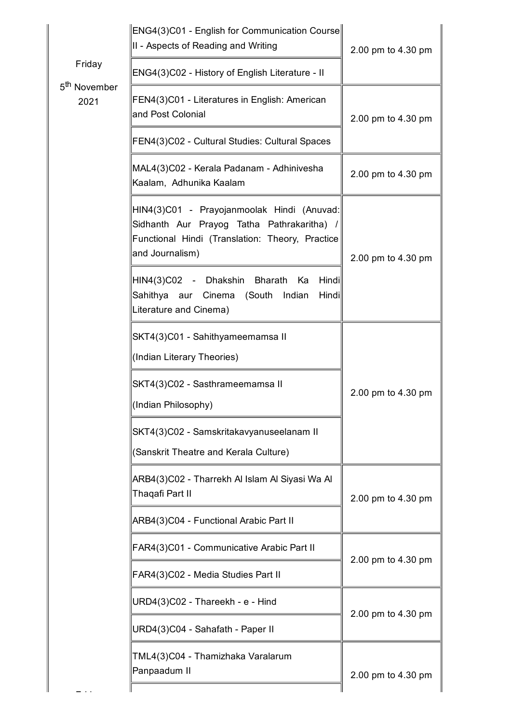|                                  | ENG4(3)C01 - English for Communication Course<br>II - Aspects of Reading and Writing                                                                           | 2.00 pm to 4.30 pm |
|----------------------------------|----------------------------------------------------------------------------------------------------------------------------------------------------------------|--------------------|
| Friday                           | ENG4(3)C02 - History of English Literature - II                                                                                                                |                    |
| 5 <sup>th</sup> November<br>2021 | FEN4(3)C01 - Literatures in English: American<br>and Post Colonial                                                                                             | 2.00 pm to 4.30 pm |
|                                  | FEN4(3)C02 - Cultural Studies: Cultural Spaces                                                                                                                 |                    |
|                                  | MAL4(3)C02 - Kerala Padanam - Adhinivesha<br>Kaalam, Adhunika Kaalam                                                                                           | 2.00 pm to 4.30 pm |
|                                  | HIN4(3)C01 - Prayojanmoolak Hindi (Anuvad:<br>Sidhanth Aur Prayog Tatha Pathrakaritha) /<br>Functional Hindi (Translation: Theory, Practice<br>and Journalism) | 2.00 pm to 4.30 pm |
|                                  | HIN4(3)C02 - Dhakshin Bharath<br>Hindi<br>Ka<br>Hindi<br>Sahithya aur Cinema (South<br>Indian<br>Literature and Cinema)                                        |                    |
|                                  | SKT4(3)C01 - Sahithyameemamsa II                                                                                                                               |                    |
|                                  | (Indian Literary Theories)                                                                                                                                     |                    |
|                                  | SKT4(3)C02 - Sasthrameemamsa II                                                                                                                                | 2.00 pm to 4.30 pm |
|                                  | (Indian Philosophy)                                                                                                                                            |                    |
|                                  | SKT4(3)C02 - Samskritakavyanuseelanam II                                                                                                                       |                    |
|                                  | (Sanskrit Theatre and Kerala Culture)                                                                                                                          |                    |
|                                  | ARB4(3)C02 - Tharrekh Al Islam Al Siyasi Wa Al<br>Thaqafi Part II                                                                                              | 2.00 pm to 4.30 pm |
|                                  | ARB4(3)C04 - Functional Arabic Part II                                                                                                                         |                    |
|                                  | FAR4(3)C01 - Communicative Arabic Part II                                                                                                                      |                    |
|                                  | FAR4(3)C02 - Media Studies Part II                                                                                                                             | 2.00 pm to 4.30 pm |
|                                  | URD4(3)C02 - Thareekh - e - Hind                                                                                                                               |                    |
|                                  | URD4(3)C04 - Sahafath - Paper II                                                                                                                               | 2.00 pm to 4.30 pm |
|                                  | TML4(3)C04 - Thamizhaka Varalarum<br>Panpaadum II                                                                                                              | 2.00 pm to 4.30 pm |